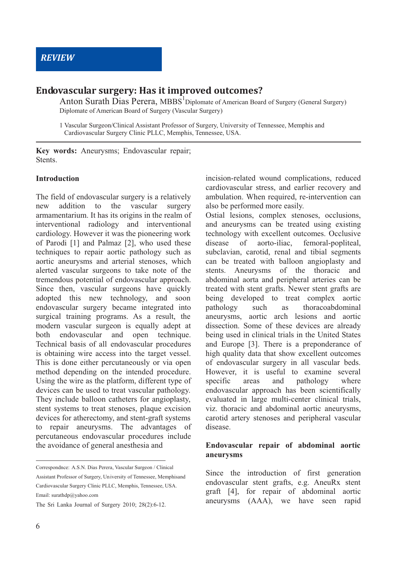# **Endovascular surgery: Has it improved outcomes?**

Anton Surath Dias Perera,  $MBBS<sup>1</sup>$ Diplomate of American Board of Surgery (General Surgery) Diplomate of American Board of Surgery (Vascular Surgery)

1 Vascular Surgeon/Clinical Assistant Professor of Surgery, University of Tennessee, Memphis and Cardiovascular Surgery Clinic PLLC, Memphis, Tennessee, USA.

**Key words:** Aneurysms; Endovascular repair; **Stents** 

#### **Introduction**

The field of endovascular surgery is a relatively new addition to the vascular surgery armamentarium. It has its origins in the realm of interventional radiology and interventional cardiology. However it was the pioneering work of Parodi [1] and Palmaz [2], who used these techniques to repair aortic pathology such as aortic aneurysms and arterial stenoses, which alerted vascular surgeons to take note of the tremendous potential of endovascular approach. Since then, vascular surgeons have quickly adopted this new technology, and soon endovascular surgery became integrated into surgical training programs. As a result, the modern vascular surgeon is equally adept at both endovascular and open technique. Technical basis of all endovascular procedures is obtaining wire access into the target vessel. This is done either percutaneously or via open method depending on the intended procedure. Using the wire as the platform, different type of devices can be used to treat vascular pathology. They include balloon catheters for angioplasty, stent systems to treat stenoses, plaque excision devices for atherectomy, and stent-graft systems to repair aneurysms. The advantages of percutaneous endovascular procedures include the avoidance of general anesthesia and

incision-related wound complications, reduced cardiovascular stress, and earlier recovery and ambulation. When required, re-intervention can also be performed more easily.

Ostial lesions, complex stenoses, occlusions, and aneurysms can be treated using existing technology with excellent outcomes. Occlusive disease of aorto-iliac, femoral-popliteal, subclavian, carotid, renal and tibial segments can be treated with balloon angioplasty and stents. Aneurysms of the thoracic and abdominal aorta and peripheral arteries can be treated with stent grafts. Newer stent grafts are being developed to treat complex aortic pathology such as thoracoabdominal aneurysms, aortic arch lesions and aortic dissection. Some of these devices are already being used in clinical trials in the United States and Europe [3]. There is a preponderance of high quality data that show excellent outcomes of endovascular surgery in all vascular beds. However, it is useful to examine several specific areas and pathology where endovascular approach has been scientifically evaluated in large multi-center clinical trials, viz. thoracic and abdominal aortic aneurysms, carotid artery stenoses and peripheral vascular disease.

#### **Endovascular repair of abdominal aortic aneurysms**

Since the introduction of first generation endovascular stent grafts, e.g. AneuRx stent graft [4], for repair of abdominal aortic aneurysms (AAA), we have seen rapid

Correspondnce: A.S.N. Dias Perera, Vascular Surgeon / Clinical Assistant Professor of Surgery, University of Tennessee, Memphisand Cardiovascular Surgery Clinic PLLC, Memphis, Tennessee, USA. Email: surathdp@yahoo.com

The Sri Lanka Journal of Surgery 2010; 28(2):6-12.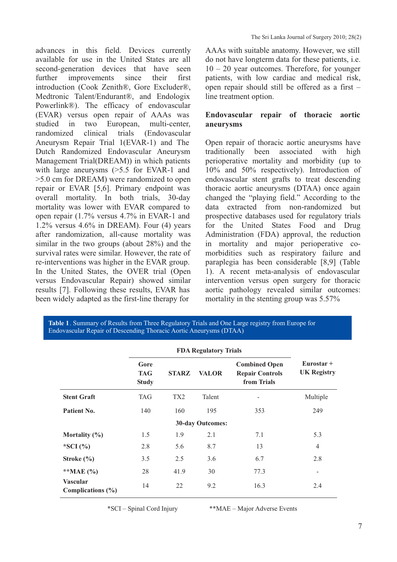advances in this field. Devices currently available for use in the United States are all second-generation devices that have seen further improvements since their first introduction (Cook Zenith®, Gore Excluder®, Medtronic Talent/Endurant®, and Endologix Powerlink®). The efficacy of endovascular (EVAR) versus open repair of AAAs was studied in two European, multi-center, randomized clinical trials (Endovascular Aneurysm Repair Trial 1(EVAR-1) and The Dutch Randomized Endovascular Aneurysm Management Trial(DREAM)) in which patients with large aneurysms ( $>5.5$  for EVAR-1 and >5.0 cm for DREAM) were randomized to open repair or EVAR [5,6]. Primary endpoint was overall mortality. In both trials, 30-day mortality was lower with EVAR compared to open repair (1.7% versus 4.7% in EVAR-1 and 1.2% versus 4.6% in DREAM). Four (4) years after randomization, all-cause mortality was similar in the two groups (about 28%) and the survival rates were similar. However, the rate of re-interventions was higher in the EVAR group. In the United States, the OVER trial (Open versus Endovascular Repair) showed similar results [7]. Following these results, EVAR has been widely adapted as the first-line therapy for

AAAs with suitable anatomy. However, we still do not have longterm data for these patients, i.e. 10 – 20 year outcomes. Therefore, for younger patients, with low cardiac and medical risk, open repair should still be offered as a first – line treatment option.

## **Endovascular repair of thoracic aortic aneurysms**

Open repair of thoracic aortic aneurysms have traditionally been associated with high perioperative mortality and morbidity (up to 10% and 50% respectively). Introduction of endovascular stent grafts to treat descending thoracic aortic aneurysms (DTAA) once again changed the "playing field." According to the data extracted from non-randomized but prospective databases used for regulatory trials for the United States Food and Drug Administration (FDA) approval, the reduction in mortality and major perioperative comorbidities such as respiratory failure and paraplegia has been considerable [8,9] (Table 1). A recent meta-analysis of endovascular intervention versus open surgery for thoracic aortic pathology revealed similar outcomes: mortality in the stenting group was 5.57%

**Table 1**. Summary of Results from Three Regulatory Trials and One Large registry from Europe for Endovascular Repair of Descending Thoracic Aortic Aneurysms (DTAA)

|                                          | Gore<br><b>TAG</b><br><b>Study</b> | <b>STARZ</b>    | <b>VALOR</b> | <b>Combined Open</b><br><b>Repair Controls</b><br>from Trials | $Eurostar +$<br><b>UK Registry</b> |  |  |  |  |
|------------------------------------------|------------------------------------|-----------------|--------------|---------------------------------------------------------------|------------------------------------|--|--|--|--|
| <b>Stent Graft</b>                       | <b>TAG</b>                         | TX <sub>2</sub> | Talent       |                                                               | Multiple                           |  |  |  |  |
| Patient No.                              | 140                                | 160             | 195          | 353                                                           | 249                                |  |  |  |  |
| <b>30-day Outcomes:</b>                  |                                    |                 |              |                                                               |                                    |  |  |  |  |
| Mortality $(\% )$                        | 1.5                                | 1.9             | 2.1          | 7.1                                                           | 5.3                                |  |  |  |  |
| *SCI $(% )$                              | 2.8                                | 5.6             | 8.7          | 13                                                            | $\overline{4}$                     |  |  |  |  |
| Stroke $(\% )$                           | 3.5                                | 2.5             | 3.6          | 6.7                                                           | 2.8                                |  |  |  |  |
| ** $MAE (%)$                             | 28                                 | 41.9            | 30           | 77.3                                                          |                                    |  |  |  |  |
| <b>Vascular</b><br>Complications $(\% )$ | 14                                 | 22              | 9.2          | 16.3                                                          | 2.4                                |  |  |  |  |

\*SCI – Spinal Cord Injury \*\*MAE – Major Adverse Events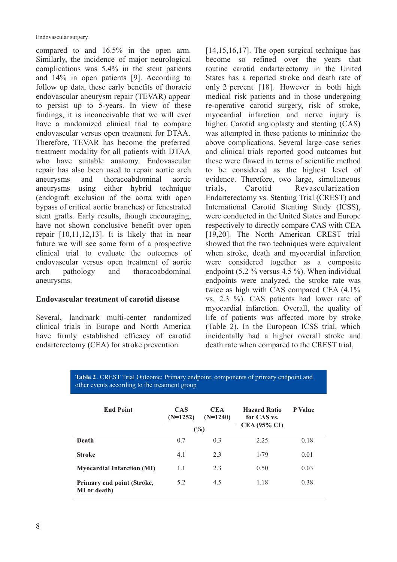Endovascular surgery

compared to and 16.5% in the open arm. Similarly, the incidence of major neurological complications was 5.4% in the stent patients and 14% in open patients [9]. According to follow up data, these early benefits of thoracic endovascular aneurysm repair (TEVAR) appear to persist up to 5-years. In view of these findings, it is inconceivable that we will ever have a randomized clinical trial to compare endovascular versus open treatment for DTAA. Therefore, TEVAR has become the preferred treatment modality for all patients with DTAA who have suitable anatomy. Endovascular repair has also been used to repair aortic arch aneurysms and thoracoabdominal aortic aneurysms using either hybrid technique (endograft exclusion of the aorta with open bypass of critical aortic branches) or fenestrated stent grafts. Early results, though encouraging, have not shown conclusive benefit over open repair [10,11,12,13]. It is likely that in near future we will see some form of a prospective clinical trial to evaluate the outcomes of endovascular versus open treatment of aortic arch pathology and thoracoabdominal aneurysms.

## **Endovascular treatment of carotid disease**

Several, landmark multi-center randomized clinical trials in Europe and North America have firmly established efficacy of carotid endarterectomy (CEA) for stroke prevention

[14,15,16,17]. The open surgical technique has become so refined over the years that routine carotid endarterectomy in the United States has a reported stroke and death rate of only 2 percent [18]. However in both high medical risk patients and in those undergoing re-operative carotid surgery, risk of stroke, myocardial infarction and nerve injury is higher. Carotid angioplasty and stenting (CAS) was attempted in these patients to minimize the above complications. Several large case series and clinical trials reported good outcomes but these were flawed in terms of scientific method to be considered as the highest level of evidence. Therefore, two large, simultaneous trials, Carotid Revascularization Endarterectomy vs. Stenting Trial (CREST) and International Carotid Stenting Study (ICSS), were conducted in the United States and Europe respectively to directly compare CAS with CEA [19,20]. The North American CREST trial showed that the two techniques were equivalent when stroke, death and myocardial infarction were considered together as a composite endpoint (5.2 % versus 4.5 %). When individual endpoints were analyzed, the stroke rate was twice as high with CAS compared CEA (4.1% vs. 2.3 %). CAS patients had lower rate of myocardial infarction. Overall, the quality of life of patients was affected more by stroke (Table 2). In the European ICSS trial, which incidentally had a higher overall stroke and death rate when compared to the CREST trial,

**Table 2**. CREST Trial Outcome: Primary endpoint, components of primary endpoint and other events according to the treatment group

| <b>End Point</b>                                  | <b>CAS</b><br>$(N=1252)$ | <b>CEA</b><br>$(N=1240)$<br>(%) | <b>Hazard Ratio</b><br>for CAS vs.<br>$CEA (95\% CI)$ | <b>P</b> Value |
|---------------------------------------------------|--------------------------|---------------------------------|-------------------------------------------------------|----------------|
| Death                                             | 0.7                      | 0.3                             | 2.25                                                  | 0.18           |
| <b>Stroke</b>                                     | 4.1                      | 2.3                             | 1/79                                                  | 0.01           |
| <b>Myocardial Infarction (MI)</b>                 | 1.1                      | 2.3                             | 0.50                                                  | 0.03           |
| Primary end point (Stroke,<br><b>MI</b> or death) | 5.2                      | 4.5                             | 1.18                                                  | 0.38           |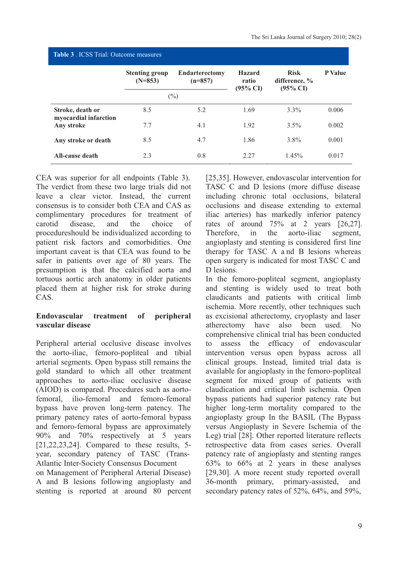| <b>Table 3</b> . ICSS Trial: Outcome measures |                                    |                                    |                                               |                                                        |                |  |  |  |  |
|-----------------------------------------------|------------------------------------|------------------------------------|-----------------------------------------------|--------------------------------------------------------|----------------|--|--|--|--|
|                                               | <b>Stenting group</b><br>$(N=853)$ | <b>Endarterectomy</b><br>$(n=857)$ | <b>Hazard</b><br>ratio<br>$(95\% \text{ CI})$ | <b>Risk</b><br>difference, $\%$<br>$(95\% \text{ CI})$ | <b>P</b> Value |  |  |  |  |
|                                               |                                    | $(\%)$                             |                                               |                                                        |                |  |  |  |  |
| Stroke, death or<br>myocardial infarction     | 8.5                                | 5.2                                | 1.69                                          | $3.3\%$                                                | 0.006          |  |  |  |  |
| Any stroke                                    | 7.7                                | 4.1                                | 1.92                                          | $3.5\%$                                                | 0.002          |  |  |  |  |
| Any stroke or death                           | 8.5                                | 4.7                                | 1.86                                          | $3.8\%$                                                | 0.001          |  |  |  |  |
| All-cause death                               | 2.3                                | 0.8                                | 2.27                                          | 1.45%                                                  | 0.017          |  |  |  |  |

CEA was superior for all endpoints (Table 3). The verdict from these two large trials did not leave a clear victor. Instead, the current consensus is to consider both CEA and CAS as complimentary procedures for treatment of carotid disease, and the choice of procedureshould be individualized according to patient risk factors and comorbidities. One important caveat is that CEA was found to be safer in patients over age of 80 years. The presumption is that the calcified aorta and tortuous aortic arch anatomy in older patients placed them at higher risk for stroke during CAS.

#### **Endovascular treatment of peripheral vascular disease**

Peripheral arterial occlusive disease involves the aorto-iliac, femoro-popliteal and tibial arterial segments. Open bypass still remains the gold standard to which all other treatment approaches to aorto-iliac occlusive disease (AIOD) is compared. Procedures such as aortofemoral, ilio-femoral and femoro-femoral bypass have proven long-term patency. The primary patency rates of aorto-femoral bypass and femoro-femoral bypass are approximately 90% and 70% respectively at 5 years [21,22,23,24]. Compared to these results, 5 year, secondary patency of TASC (Trans-Atlantic Inter-Society Consensus Document on Management of Peripheral Arterial Disease) A and B lesions following angioplasty and stenting is reported at around 80 percent

[25,35]. However, endovascular intervention for TASC C and D lesions (more diffuse disease including chronic total occlusions, bilateral occlusions and disease extending to external iliac arteries) has markedly inferior patency rates of around 75% at 2 years [26,27]. Therefore, in the aorto-iliac segment, angioplasty and stenting is considered first line therapy for TASC A a nd B lesions whereas open surgery is indicated for most TASC C and D lesions.

In the femoro-popliteal segment, angioplasty and stenting is widely used to treat both claudicants and patients with critical limb ischemia. More recently, other techniques such as excisional atherectomy, cryoplasty and laser atherectomy have also been used. No comprehensive clinical trial has been conducted to assess the efficacy of endovascular intervention versus open bypass across all clinical groups. Instead, limited trial data is available for angioplasty in the femoro-popliteal segment for mixed group of patients with claudication and critical limb ischemia. Open bypass patients had superior patency rate but higher long-term mortality compared to the angioplasty group In the BASIL (The Bypass versus Angioplasty in Severe Ischemia of the Leg) trial [28]. Other reported literature reflects retrospective data from cases series. Overall patency rate of angioplasty and stenting ranges 63% to 66% at 2 years in these analyses [29,30]. A more recent study reported overall 36-month primary, primary-assisted, and secondary patency rates of 52%, 64%, and 59%,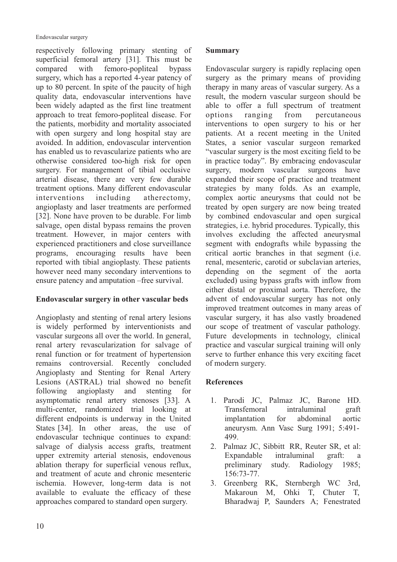respectively following primary stenting of superficial femoral artery [31]. This must be compared with femoro-popliteal bypass surgery, which has a reported 4-year patency of up to 80 percent. In spite of the paucity of high quality data, endovascular interventions have been widely adapted as the first line treatment approach to treat femoro-popliteal disease. For the patients, morbidity and mortality associated with open surgery and long hospital stay are avoided. In addition, endovascular intervention has enabled us to revascularize patients who are otherwise considered too-high risk for open surgery. For management of tibial occlusive arterial disease, there are very few durable treatment options. Many different endovascular interventions including atherectomy, angioplasty and laser treatments are performed [32]. None have proven to be durable. For limb salvage, open distal bypass remains the proven treatment. However, in major centers with experienced practitioners and close surveillance programs, encouraging results have been reported with tibial angioplasty. These patients however need many secondary interventions to ensure patency and amputation –free survival.

## **Endovascular surgery in other vascular beds**

Angioplasty and stenting of renal artery lesions is widely performed by interventionists and vascular surgeons all over the world. In general, renal artery revascularization for salvage of renal function or for treatment of hypertension remains controversial. Recently concluded Angioplasty and Stenting for Renal Artery Lesions (ASTRAL) trial showed no benefit following angioplasty and stenting for asymptomatic renal artery stenoses [33]. A multi-center, randomized trial looking at different endpoints is underway in the United States [34]. In other areas, the use of endovascular technique continues to expand: salvage of dialysis access grafts, treatment upper extremity arterial stenosis, endovenous ablation therapy for superficial venous reflux, and treatment of acute and chronic mesenteric ischemia. However, long-term data is not available to evaluate the efficacy of these approaches compared to standard open surgery.

#### **Summary**

Endovascular surgery is rapidly replacing open surgery as the primary means of providing therapy in many areas of vascular surgery. As a result, the modern vascular surgeon should be able to offer a full spectrum of treatment options ranging from percutaneous interventions to open surgery to his or her patients. At a recent meeting in the United States, a senior vascular surgeon remarked "vascular surgery is the most exciting field to be in practice today". By embracing endovascular surgery, modern vascular surgeons have expanded their scope of practice and treatment strategies by many folds. As an example, complex aortic aneurysms that could not be treated by open surgery are now being treated by combined endovascular and open surgical strategies, i.e. hybrid procedures. Typically, this involves excluding the affected aneurysmal segment with endografts while bypassing the critical aortic branches in that segment (i.e. renal, mesenteric, carotid or subclavian arteries, depending on the segment of the aorta excluded) using bypass grafts with inflow from either distal or proximal aorta. Therefore, the advent of endovascular surgery has not only improved treatment outcomes in many areas of vascular surgery, it has also vastly broadened our scope of treatment of vascular pathology. Future developments in technology, clinical practice and vascular surgical training will only serve to further enhance this very exciting facet of modern surgery.

## **References**

- 1. Parodi JC, Palmaz JC, Barone HD. Transfemoral intraluminal graft implantation for abdominal aortic aneurysm. Ann Vasc Surg 1991; 5:491- 499.
- 2. Palmaz JC, Sibbitt RR, Reuter SR, et al: Expandable intraluminal graft: a preliminary study. Radiology 1985; 156:73-77.
- 3. Greenberg RK, Sternbergh WC 3rd, Makaroun M, Ohki T, Chuter T, Bharadwaj P, Saunders A; Fenestrated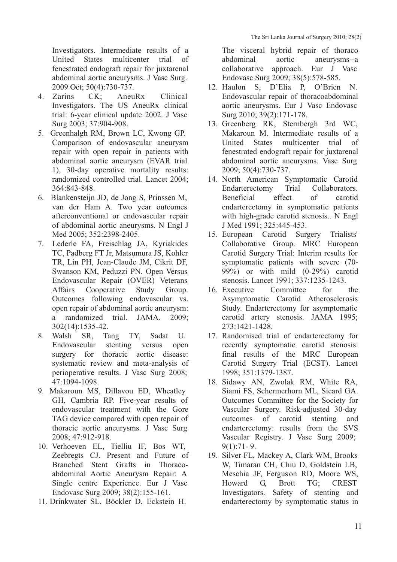Investigators. Intermediate results of a United States multicenter trial of fenestrated endograft repair for juxtarenal abdominal aortic aneurysms. J Vasc Surg. 2009 Oct; 50(4):730-737.

- 4. Zarins CK; AneuRx Clinical Investigators. The US AneuRx clinical trial: 6-year clinical update 2002. J Vasc Surg 2003; 37:904-908.
- 5. Greenhalgh RM, Brown LC, Kwong GP. Comparison of endovascular aneurysm repair with open repair in patients with abdominal aortic aneurysm (EVAR trial 1), 30-day operative mortality results: randomized controlled trial. Lancet 2004; 364:843-848.
- 6. Blankensteijn JD, de Jong S, Prinssen M, van der Ham A. Two year outcomes afterconventional or endovascular repair of abdominal aortic aneurysms. N Engl J Med 2005; 352:2398-2405.
- 7. Lederle FA, Freischlag JA, Kyriakides TC, Padberg FT Jr, Matsumura JS, Kohler TR, Lin PH, Jean-Claude JM, Cikrit DF, Swanson KM, Peduzzi PN. Open Versus Endovascular Repair (OVER) Veterans Affairs Cooperative Study Group. Outcomes following endovascular vs. open repair of abdominal aortic aneurysm: a randomized trial. JAMA. 2009; 302(14):1535-42.
- 8. Walsh SR, Tang TY, Sadat U. Endovascular stenting versus open surgery for thoracic aortic disease: systematic review and meta-analysis of perioperative results. J Vasc Surg 2008; 47:1094-1098.
- 9. Makaroun MS, Dillavou ED, Wheatley GH, Cambria RP. Five-year results of endovascular treatment with the Gore TAG device compared with open repair of thoracic aortic aneurysms. J Vasc Surg 2008; 47:912-918.
- 10. Verhoeven EL, Tielliu IF, Bos WT, Zeebregts CJ. Present and Future of Branched Stent Grafts in Thoracoabdominal Aortic Aneurysm Repair: A Single centre Experience. Eur J Vasc Endovasc Surg 2009; 38(2):155-161.
- 11. Drinkwater SL, Böckler D, Eckstein H.

The visceral hybrid repair of thoraco abdominal aortic aneurysms--a collaborative approach. Eur J Vasc Endovasc Surg 2009; 38(5):578-585.

- 12. Haulon S, D'Elia P, O'Brien N. Endovascular repair of thoracoabdominal aortic aneurysms. Eur J Vasc Endovasc Surg 2010; 39(2):171-178.
- 13. Greenberg RK, Sternbergh 3rd WC, Makaroun M. Intermediate results of a United States multicenter trial of fenestrated endograft repair for juxtarenal abdominal aortic aneurysms. Vasc Surg 2009; 50(4):730-737.
- 14. North American Symptomatic Carotid Endarterectomy Trial Collaborators. Beneficial effect of carotid endarterectomy in symptomatic patients with high-grade carotid stenosis.. N Engl J Med 1991; 325:445-453.
- 15. European Carotid Surgery Trialists' Collaborative Group. MRC European Carotid Surgery Trial: Interim results for symptomatic patients with severe (70- 99%) or with mild (0-29%) carotid stenosis. Lancet 1991; 337:1235-1243.
- 16. Executive Committee for the Asymptomatic Carotid Atherosclerosis Study. Endarterectomy for asymptomatic carotid artery stenosis. JAMA 1995; 273:1421-1428.
- 17. Randomised trial of endarterectomy for recently symptomatic carotid stenosis: final results of the MRC European Carotid Surgery Trial (ECST). Lancet 1998; 351:1379-1387.
- 18. Sidawy AN, Zwolak RM, White RA, Siami FS, Schermerhorn ML, Sicard GA. Outcomes Committee for the Society for Vascular Surgery. Risk-adjusted 30-day outcomes of carotid stenting and endarterectomy: results from the SVS Vascular Registry. J Vasc Surg 2009; 9(1):71- 9.
- 19. Silver FL, Mackey A, Clark WM, Brooks W, Timaran CH, Chiu D, Goldstein LB, Meschia JF, Ferguson RD, Moore WS, Howard G, Brott TG; CREST Investigators. Safety of stenting and endarterectomy by symptomatic status in